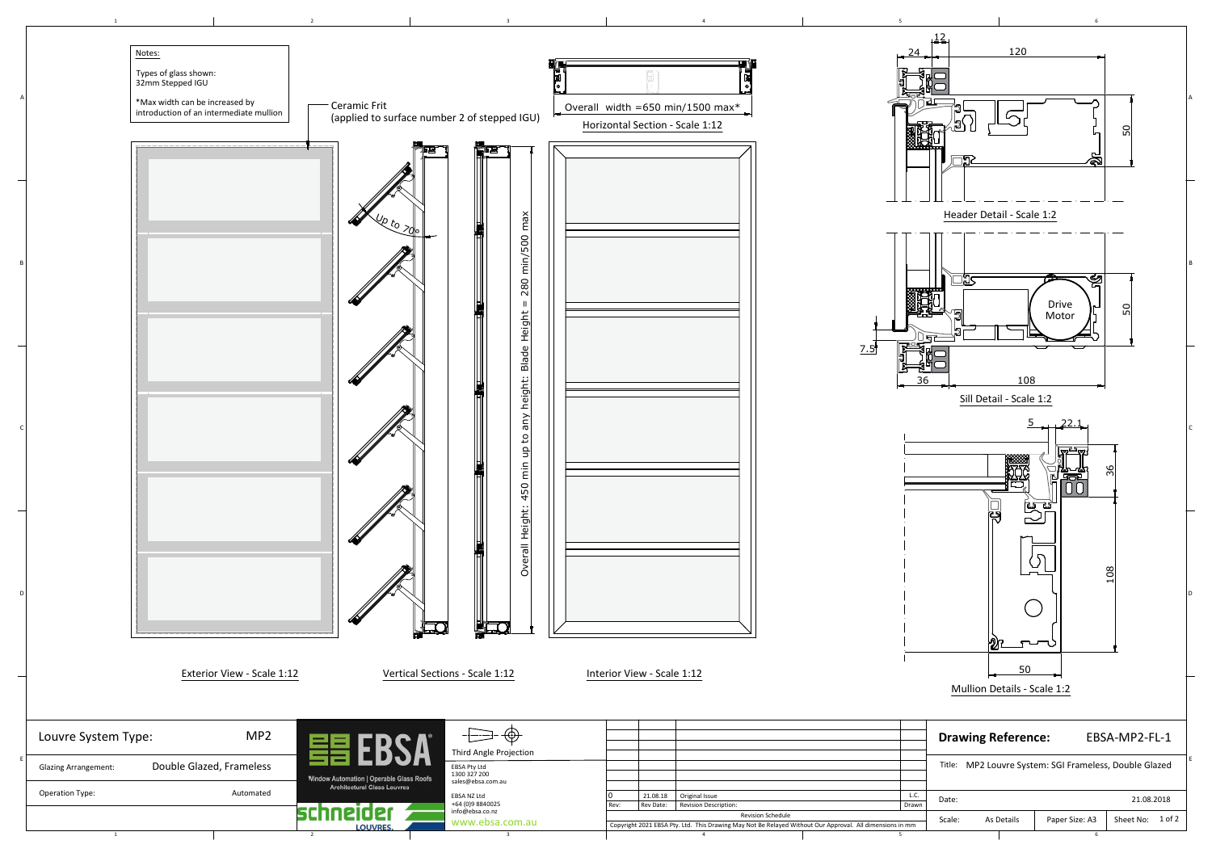